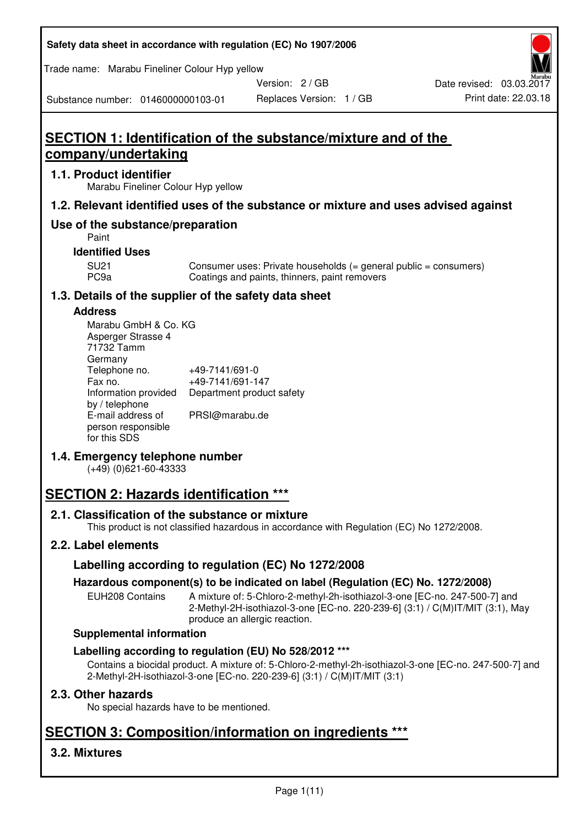| Safety data sheet in accordance with regulation (EC) No 1907/2006 |  |
|-------------------------------------------------------------------|--|
|-------------------------------------------------------------------|--|

Trade name: Marabu Fineliner Colour Hyp yellow

Version: 2 / GB

Replaces Version: 1 / GB Print date: 22.03.18 Date revised: 03.03.2017

Substance number: 0146000000103-01

# **SECTION 1: Identification of the substance/mixture and of the company/undertaking**

## **1.1. Product identifier**

Marabu Fineliner Colour Hyp yellow

## **1.2. Relevant identified uses of the substance or mixture and uses advised against**

## **Use of the substance/preparation**

Paint

### **Identified Uses**

SU21 Consumer uses: Private households (= general public = consumers)<br>PC9a Coatings and paints, thinners, paint removers Coatings and paints, thinners, paint removers

## **1.3. Details of the supplier of the safety data sheet**

#### **Address**

| Marabu GmbH & Co. KG |                           |
|----------------------|---------------------------|
| Asperger Strasse 4   |                           |
| 71732 Tamm           |                           |
| Germany              |                           |
| Telephone no.        | +49-7141/691-0            |
| Fax no.              | +49-7141/691-147          |
| Information provided | Department product safety |
| by / telephone       |                           |
| E-mail address of    | PRSI@marabu.de            |
| person responsible   |                           |
| for this SDS         |                           |

## **1.4. Emergency telephone number**

(+49) (0)621-60-43333

# **SECTION 2: Hazards identification \*\*\***

## **2.1. Classification of the substance or mixture**

This product is not classified hazardous in accordance with Regulation (EC) No 1272/2008.

## **2.2. Label elements**

## **Labelling according to regulation (EC) No 1272/2008**

## **Hazardous component(s) to be indicated on label (Regulation (EC) No. 1272/2008)**

EUH208 Contains A mixture of: 5-Chloro-2-methyl-2h-isothiazol-3-one [EC-no. 247-500-7] and 2-Methyl-2H-isothiazol-3-one [EC-no. 220-239-6] (3:1) / C(M)IT/MIT (3:1), May produce an allergic reaction.

#### **Supplemental information**

## **Labelling according to regulation (EU) No 528/2012 \*\*\***

Contains a biocidal product. A mixture of: 5-Chloro-2-methyl-2h-isothiazol-3-one [EC-no. 247-500-7] and 2-Methyl-2H-isothiazol-3-one [EC-no. 220-239-6] (3:1) / C(M)IT/MIT (3:1)

## **2.3. Other hazards**

No special hazards have to be mentioned.

# **SECTION 3: Composition/information on ingredients \*\*\***

## **3.2. Mixtures**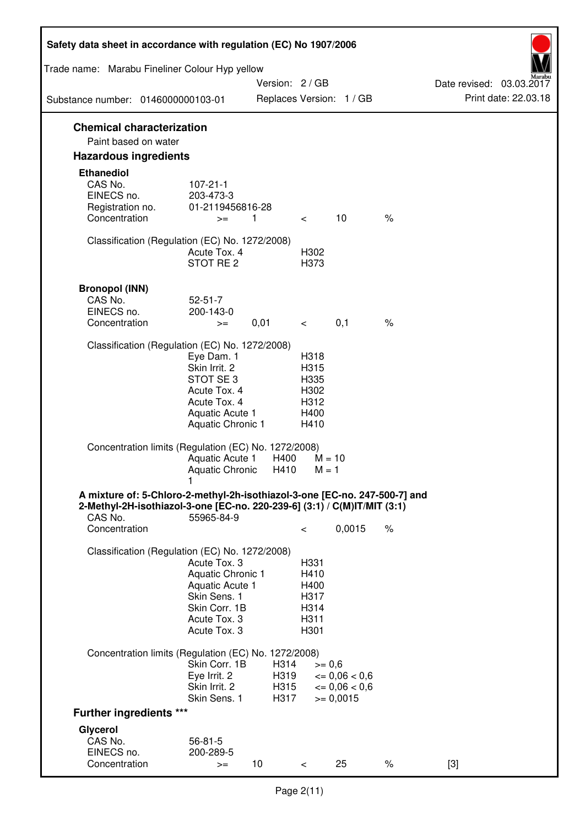| Safety data sheet in accordance with regulation (EC) No 1907/2006                                                                                                 |                                                                                                                       |                              |                                                      |                                                                              |      |                                                  |
|-------------------------------------------------------------------------------------------------------------------------------------------------------------------|-----------------------------------------------------------------------------------------------------------------------|------------------------------|------------------------------------------------------|------------------------------------------------------------------------------|------|--------------------------------------------------|
| Trade name: Marabu Fineliner Colour Hyp yellow                                                                                                                    |                                                                                                                       |                              |                                                      |                                                                              |      |                                                  |
| Substance number: 0146000000103-01                                                                                                                                |                                                                                                                       | Version: 2 / GB              |                                                      | Replaces Version: 1 / GB                                                     |      | Date revised: 03.03.2017<br>Print date: 22.03.18 |
| <b>Chemical characterization</b>                                                                                                                                  |                                                                                                                       |                              |                                                      |                                                                              |      |                                                  |
| Paint based on water                                                                                                                                              |                                                                                                                       |                              |                                                      |                                                                              |      |                                                  |
| <b>Hazardous ingredients</b>                                                                                                                                      |                                                                                                                       |                              |                                                      |                                                                              |      |                                                  |
| <b>Ethanediol</b><br>CAS No.<br>EINECS no.<br>Registration no.<br>Concentration                                                                                   | $107 - 21 - 1$<br>203-473-3<br>01-2119456816-28<br>$>=$                                                               | $\mathbf{1}$                 | $\lt$                                                | 10                                                                           | $\%$ |                                                  |
|                                                                                                                                                                   |                                                                                                                       |                              |                                                      |                                                                              |      |                                                  |
| Classification (Regulation (EC) No. 1272/2008)                                                                                                                    | Acute Tox. 4<br>STOT RE <sub>2</sub>                                                                                  |                              | H302<br>H373                                         |                                                                              |      |                                                  |
| <b>Bronopol (INN)</b>                                                                                                                                             |                                                                                                                       |                              |                                                      |                                                                              |      |                                                  |
| CAS No.                                                                                                                                                           | $52 - 51 - 7$                                                                                                         |                              |                                                      |                                                                              |      |                                                  |
| EINECS no.<br>Concentration                                                                                                                                       | 200-143-0                                                                                                             |                              |                                                      | 0,1                                                                          | $\%$ |                                                  |
|                                                                                                                                                                   | $>=$                                                                                                                  | 0,01                         | $\overline{\phantom{0}}$                             |                                                                              |      |                                                  |
| Classification (Regulation (EC) No. 1272/2008)                                                                                                                    |                                                                                                                       |                              |                                                      |                                                                              |      |                                                  |
|                                                                                                                                                                   | Eye Dam. 1<br>Skin Irrit. 2<br>STOT SE3<br>Acute Tox. 4<br>Acute Tox. 4<br>Aquatic Acute 1<br>Aquatic Chronic 1       |                              | H318<br>H315<br>H335<br>H302<br>H312<br>H400<br>H410 |                                                                              |      |                                                  |
| Concentration limits (Regulation (EC) No. 1272/2008)                                                                                                              | Aquatic Acute 1<br>Aquatic Chronic                                                                                    | H400<br>H410                 | $M = 1$                                              | $M = 10$                                                                     |      |                                                  |
| A mixture of: 5-Chloro-2-methyl-2h-isothiazol-3-one [EC-no. 247-500-7] and<br>2-Methyl-2H-isothiazol-3-one [EC-no. 220-239-6] (3:1) / C(M)IT/MIT (3:1)<br>CAS No. | 55965-84-9                                                                                                            |                              |                                                      |                                                                              |      |                                                  |
| Concentration                                                                                                                                                     |                                                                                                                       |                              | $\,<\,$                                              | 0,0015                                                                       | $\%$ |                                                  |
| Classification (Regulation (EC) No. 1272/2008)                                                                                                                    | Acute Tox, 3<br>Aquatic Chronic 1<br>Aquatic Acute 1<br>Skin Sens. 1<br>Skin Corr. 1B<br>Acute Tox. 3<br>Acute Tox. 3 |                              | H331<br>H410<br>H400<br>H317<br>H314<br>H311<br>H301 |                                                                              |      |                                                  |
| Concentration limits (Regulation (EC) No. 1272/2008)                                                                                                              |                                                                                                                       |                              |                                                      |                                                                              |      |                                                  |
|                                                                                                                                                                   | Skin Corr. 1B<br>Eye Irrit. 2<br>Skin Irrit. 2<br>Skin Sens. 1                                                        | H314<br>H319<br>H315<br>H317 |                                                      | $>= 0,6$<br>$\epsilon = 0.06 < 0.6$<br>$\epsilon = 0.06 < 0.6$<br>$= 0,0015$ |      |                                                  |
| <b>Further ingredients ***</b>                                                                                                                                    |                                                                                                                       |                              |                                                      |                                                                              |      |                                                  |
| Glycerol                                                                                                                                                          |                                                                                                                       |                              |                                                      |                                                                              |      |                                                  |
| CAS No.                                                                                                                                                           | $56 - 81 - 5$                                                                                                         |                              |                                                      |                                                                              |      |                                                  |
| EINECS no.<br>Concentration                                                                                                                                       | 200-289-5<br>$>=$                                                                                                     | 10                           | $\,<\,$                                              | 25                                                                           | $\%$ | $[3]$                                            |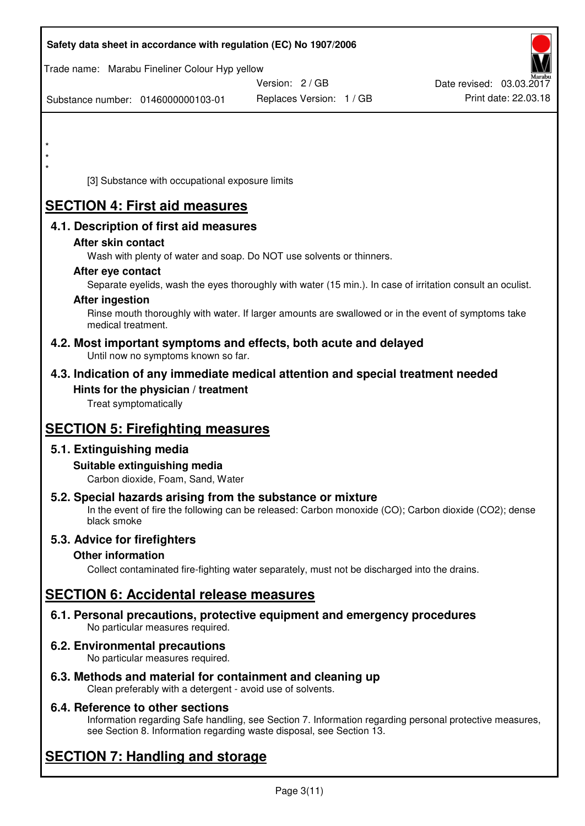| Safety data sheet in accordance with regulation (EC) No 1907/2006                                                       |                                                                                                            |                          |
|-------------------------------------------------------------------------------------------------------------------------|------------------------------------------------------------------------------------------------------------|--------------------------|
| Trade name: Marabu Fineliner Colour Hyp yellow                                                                          |                                                                                                            |                          |
|                                                                                                                         | Version: 2 / GB                                                                                            | Date revised: 03.03.2017 |
| Substance number: 0146000000103-01                                                                                      | Replaces Version: 1 / GB                                                                                   | Print date: 22.03.18     |
|                                                                                                                         |                                                                                                            |                          |
| $\star$                                                                                                                 |                                                                                                            |                          |
|                                                                                                                         |                                                                                                            |                          |
| $\star$<br>[3] Substance with occupational exposure limits                                                              |                                                                                                            |                          |
| <b>SECTION 4: First aid measures</b>                                                                                    |                                                                                                            |                          |
|                                                                                                                         |                                                                                                            |                          |
| 4.1. Description of first aid measures<br>After skin contact                                                            |                                                                                                            |                          |
|                                                                                                                         | Wash with plenty of water and soap. Do NOT use solvents or thinners.                                       |                          |
| After eye contact                                                                                                       |                                                                                                            |                          |
|                                                                                                                         | Separate eyelids, wash the eyes thoroughly with water (15 min.). In case of irritation consult an oculist. |                          |
| <b>After ingestion</b>                                                                                                  | Rinse mouth thoroughly with water. If larger amounts are swallowed or in the event of symptoms take        |                          |
| medical treatment.                                                                                                      |                                                                                                            |                          |
| 4.2. Most important symptoms and effects, both acute and delayed<br>Until now no symptoms known so far.                 |                                                                                                            |                          |
| 4.3. Indication of any immediate medical attention and special treatment needed                                         |                                                                                                            |                          |
| Hints for the physician / treatment<br>Treat symptomatically                                                            |                                                                                                            |                          |
| <b>SECTION 5: Firefighting measures</b>                                                                                 |                                                                                                            |                          |
| 5.1. Extinguishing media                                                                                                |                                                                                                            |                          |
| Suitable extinguishing media                                                                                            |                                                                                                            |                          |
| Carbon dioxide, Foam, Sand, Water                                                                                       |                                                                                                            |                          |
| 5.2. Special hazards arising from the substance or mixture<br>black smoke                                               | In the event of fire the following can be released: Carbon monoxide (CO); Carbon dioxide (CO2); dense      |                          |
| 5.3. Advice for firefighters                                                                                            |                                                                                                            |                          |
| <b>Other information</b>                                                                                                |                                                                                                            |                          |
|                                                                                                                         | Collect contaminated fire-fighting water separately, must not be discharged into the drains.               |                          |
| <b>SECTION 6: Accidental release measures</b>                                                                           |                                                                                                            |                          |
| 6.1. Personal precautions, protective equipment and emergency procedures<br>No particular measures required.            |                                                                                                            |                          |
| 6.2. Environmental precautions<br>No particular measures required.                                                      |                                                                                                            |                          |
| 6.3. Methods and material for containment and cleaning up<br>Clean preferably with a detergent - avoid use of solvents. |                                                                                                            |                          |

## **6.4. Reference to other sections**

Information regarding Safe handling, see Section 7. Information regarding personal protective measures, see Section 8. Information regarding waste disposal, see Section 13.

# **SECTION 7: Handling and storage**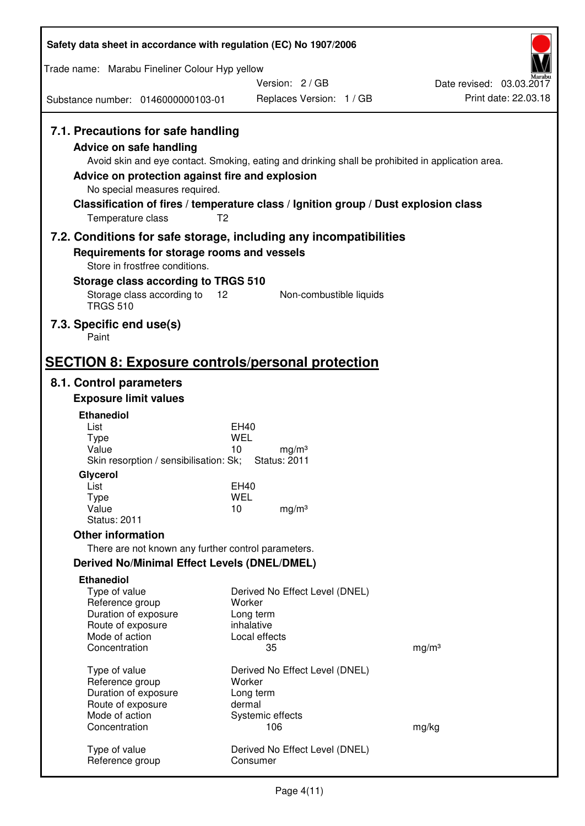| Safety data sheet in accordance with regulation (EC) No 1907/2006                                                                                                      |                                                                                                                                                                                                            |                                                  |  |  |  |
|------------------------------------------------------------------------------------------------------------------------------------------------------------------------|------------------------------------------------------------------------------------------------------------------------------------------------------------------------------------------------------------|--------------------------------------------------|--|--|--|
| Trade name: Marabu Fineliner Colour Hyp yellow                                                                                                                         |                                                                                                                                                                                                            |                                                  |  |  |  |
|                                                                                                                                                                        | Version: 2/GB                                                                                                                                                                                              | Date revised: 03.03.2017<br>Print date: 22.03.18 |  |  |  |
| Substance number: 0146000000103-01                                                                                                                                     | Replaces Version: 1 / GB                                                                                                                                                                                   |                                                  |  |  |  |
| 7.1. Precautions for safe handling<br>Advice on safe handling<br>Advice on protection against fire and explosion<br>No special measures required.<br>Temperature class | Avoid skin and eye contact. Smoking, eating and drinking shall be prohibited in application area.<br>Classification of fires / temperature class / Ignition group / Dust explosion class<br>T <sub>2</sub> |                                                  |  |  |  |
|                                                                                                                                                                        | 7.2. Conditions for safe storage, including any incompatibilities                                                                                                                                          |                                                  |  |  |  |
| Requirements for storage rooms and vessels<br>Store in frostfree conditions.                                                                                           |                                                                                                                                                                                                            |                                                  |  |  |  |
| Storage class according to TRGS 510                                                                                                                                    |                                                                                                                                                                                                            |                                                  |  |  |  |
| Storage class according to<br><b>TRGS 510</b>                                                                                                                          | 12<br>Non-combustible liquids                                                                                                                                                                              |                                                  |  |  |  |
| 7.3. Specific end use(s)<br>Paint                                                                                                                                      |                                                                                                                                                                                                            |                                                  |  |  |  |
|                                                                                                                                                                        | <b>SECTION 8: Exposure controls/personal protection</b>                                                                                                                                                    |                                                  |  |  |  |
| 8.1. Control parameters                                                                                                                                                |                                                                                                                                                                                                            |                                                  |  |  |  |
| <b>Exposure limit values</b>                                                                                                                                           |                                                                                                                                                                                                            |                                                  |  |  |  |
| <b>Ethanediol</b><br>List                                                                                                                                              | EH40                                                                                                                                                                                                       |                                                  |  |  |  |
| <b>Type</b>                                                                                                                                                            | <b>WEL</b>                                                                                                                                                                                                 |                                                  |  |  |  |
| Value<br>Skin resorption / sensibilisation: Sk;                                                                                                                        | 10<br>mg/m <sup>3</sup><br><b>Status: 2011</b>                                                                                                                                                             |                                                  |  |  |  |
| Glycerol                                                                                                                                                               |                                                                                                                                                                                                            |                                                  |  |  |  |
| List                                                                                                                                                                   | EH40                                                                                                                                                                                                       |                                                  |  |  |  |
| Type<br>Value                                                                                                                                                          | <b>WEL</b><br>10<br>mg/m <sup>3</sup>                                                                                                                                                                      |                                                  |  |  |  |
| <b>Status: 2011</b>                                                                                                                                                    |                                                                                                                                                                                                            |                                                  |  |  |  |
| <b>Other information</b>                                                                                                                                               |                                                                                                                                                                                                            |                                                  |  |  |  |
| There are not known any further control parameters.                                                                                                                    |                                                                                                                                                                                                            |                                                  |  |  |  |
| <b>Derived No/Minimal Effect Levels (DNEL/DMEL)</b>                                                                                                                    |                                                                                                                                                                                                            |                                                  |  |  |  |
| <b>Ethanediol</b><br>Type of value                                                                                                                                     | Derived No Effect Level (DNEL)                                                                                                                                                                             |                                                  |  |  |  |
| Reference group                                                                                                                                                        | Worker                                                                                                                                                                                                     |                                                  |  |  |  |
| Duration of exposure<br>Route of exposure                                                                                                                              | Long term<br>inhalative                                                                                                                                                                                    |                                                  |  |  |  |
| Mode of action                                                                                                                                                         | Local effects                                                                                                                                                                                              |                                                  |  |  |  |
| Concentration                                                                                                                                                          | 35                                                                                                                                                                                                         | mg/m <sup>3</sup>                                |  |  |  |
| Type of value                                                                                                                                                          | Derived No Effect Level (DNEL)                                                                                                                                                                             |                                                  |  |  |  |
| Reference group                                                                                                                                                        | Worker                                                                                                                                                                                                     |                                                  |  |  |  |
| Duration of exposure<br>Route of exposure                                                                                                                              | Long term<br>dermal                                                                                                                                                                                        |                                                  |  |  |  |
| Mode of action                                                                                                                                                         | Systemic effects                                                                                                                                                                                           |                                                  |  |  |  |
| Concentration                                                                                                                                                          | 106                                                                                                                                                                                                        | mg/kg                                            |  |  |  |
| Type of value                                                                                                                                                          | Derived No Effect Level (DNEL)                                                                                                                                                                             |                                                  |  |  |  |
| Reference group                                                                                                                                                        | Consumer                                                                                                                                                                                                   |                                                  |  |  |  |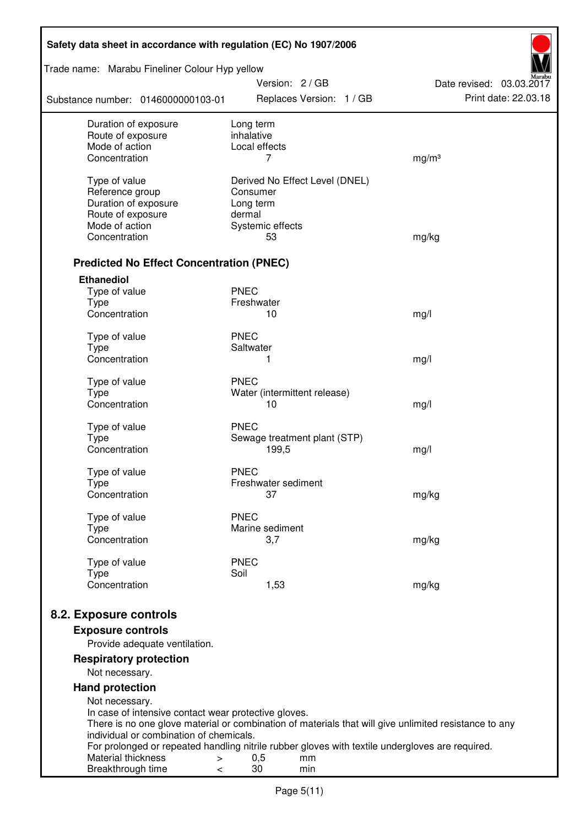| Safety data sheet in accordance with regulation (EC) No 1907/2006 |                                                                                                       |                          |  |  |  |
|-------------------------------------------------------------------|-------------------------------------------------------------------------------------------------------|--------------------------|--|--|--|
| Trade name: Marabu Fineliner Colour Hyp yellow                    | Version: 2 / GB                                                                                       | Date revised: 03.03.2017 |  |  |  |
| Substance number: 0146000000103-01                                | Replaces Version: 1 / GB                                                                              | Print date: 22.03.18     |  |  |  |
| Duration of exposure<br>Route of exposure                         | Long term<br>inhalative                                                                               |                          |  |  |  |
| Mode of action                                                    | Local effects                                                                                         |                          |  |  |  |
| Concentration                                                     | 7                                                                                                     | mg/m <sup>3</sup>        |  |  |  |
| Type of value                                                     | Derived No Effect Level (DNEL)                                                                        |                          |  |  |  |
| Reference group                                                   | Consumer                                                                                              |                          |  |  |  |
| Duration of exposure                                              | Long term                                                                                             |                          |  |  |  |
| Route of exposure                                                 | dermal                                                                                                |                          |  |  |  |
| Mode of action                                                    | Systemic effects                                                                                      |                          |  |  |  |
| Concentration                                                     | 53                                                                                                    | mg/kg                    |  |  |  |
| <b>Predicted No Effect Concentration (PNEC)</b>                   |                                                                                                       |                          |  |  |  |
| <b>Ethanediol</b>                                                 |                                                                                                       |                          |  |  |  |
| Type of value                                                     | <b>PNEC</b>                                                                                           |                          |  |  |  |
| <b>Type</b>                                                       | Freshwater                                                                                            |                          |  |  |  |
| Concentration                                                     | 10                                                                                                    | mg/l                     |  |  |  |
| Type of value                                                     | <b>PNEC</b>                                                                                           |                          |  |  |  |
| <b>Type</b>                                                       | Saltwater                                                                                             |                          |  |  |  |
| Concentration                                                     | 1                                                                                                     | mg/l                     |  |  |  |
| Type of value                                                     | <b>PNEC</b>                                                                                           |                          |  |  |  |
| <b>Type</b>                                                       | Water (intermittent release)                                                                          |                          |  |  |  |
| Concentration                                                     | 10                                                                                                    | mg/l                     |  |  |  |
| Type of value                                                     | <b>PNEC</b>                                                                                           |                          |  |  |  |
| <b>Type</b>                                                       | Sewage treatment plant (STP)                                                                          |                          |  |  |  |
| Concentration                                                     | 199,5                                                                                                 | mg/l                     |  |  |  |
| Type of value                                                     | <b>PNEC</b>                                                                                           |                          |  |  |  |
| Type                                                              | Freshwater sediment                                                                                   |                          |  |  |  |
| Concentration                                                     | 37                                                                                                    | mg/kg                    |  |  |  |
| Type of value                                                     | <b>PNEC</b>                                                                                           |                          |  |  |  |
| Type                                                              | Marine sediment                                                                                       |                          |  |  |  |
| Concentration                                                     | 3,7                                                                                                   | mg/kg                    |  |  |  |
| Type of value                                                     | <b>PNEC</b>                                                                                           |                          |  |  |  |
| <b>Type</b>                                                       | Soil                                                                                                  |                          |  |  |  |
| Concentration                                                     | 1,53                                                                                                  | mg/kg                    |  |  |  |
| 8.2. Exposure controls                                            |                                                                                                       |                          |  |  |  |
| <b>Exposure controls</b>                                          |                                                                                                       |                          |  |  |  |
| Provide adequate ventilation.                                     |                                                                                                       |                          |  |  |  |
| <b>Respiratory protection</b>                                     |                                                                                                       |                          |  |  |  |
| Not necessary.                                                    |                                                                                                       |                          |  |  |  |
| <b>Hand protection</b>                                            |                                                                                                       |                          |  |  |  |
| Not necessary.                                                    |                                                                                                       |                          |  |  |  |
| In case of intensive contact wear protective gloves.              |                                                                                                       |                          |  |  |  |
|                                                                   | There is no one glove material or combination of materials that will give unlimited resistance to any |                          |  |  |  |
| individual or combination of chemicals.                           | For prolonged or repeated handling nitrile rubber gloves with textile undergloves are required.       |                          |  |  |  |
| Material thickness<br>$\, > \,$                                   | 0,5<br>mm                                                                                             |                          |  |  |  |
| Breakthrough time<br>$\,<\,$                                      | 30<br>min                                                                                             |                          |  |  |  |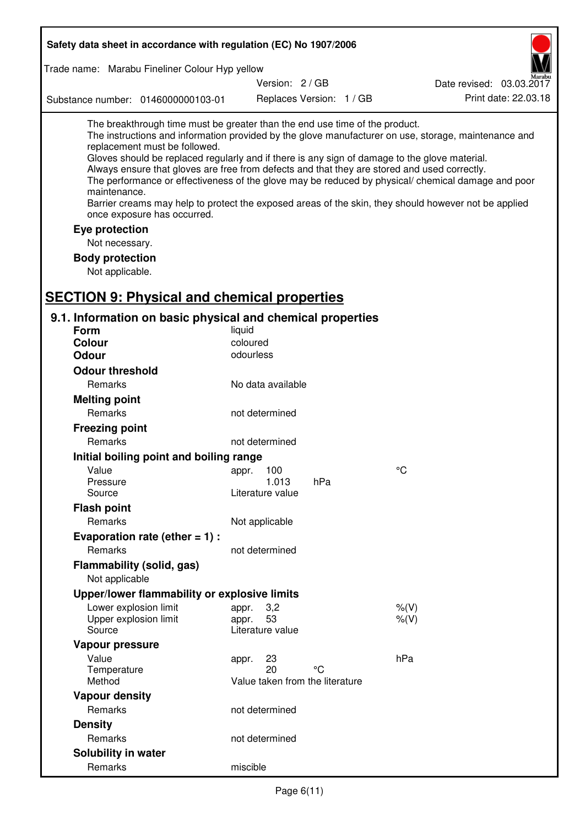| Safety data sheet in accordance with regulation (EC) No 1907/2006                                                                                                                                                                                                                                                                                                                                |                                                      |                          |                                                                                                                                                                                                                                                                                                                    |
|--------------------------------------------------------------------------------------------------------------------------------------------------------------------------------------------------------------------------------------------------------------------------------------------------------------------------------------------------------------------------------------------------|------------------------------------------------------|--------------------------|--------------------------------------------------------------------------------------------------------------------------------------------------------------------------------------------------------------------------------------------------------------------------------------------------------------------|
| Trade name: Marabu Fineliner Colour Hyp yellow                                                                                                                                                                                                                                                                                                                                                   |                                                      |                          |                                                                                                                                                                                                                                                                                                                    |
|                                                                                                                                                                                                                                                                                                                                                                                                  | Version: 2/GB                                        |                          | Date revised: 03.03.2017                                                                                                                                                                                                                                                                                           |
| Substance number: 0146000000103-01                                                                                                                                                                                                                                                                                                                                                               |                                                      | Replaces Version: 1 / GB | Print date: 22.03.18                                                                                                                                                                                                                                                                                               |
| The breakthrough time must be greater than the end use time of the product.<br>replacement must be followed.<br>Gloves should be replaced regularly and if there is any sign of damage to the glove material.<br>Always ensure that gloves are free from defects and that they are stored and used correctly.<br>maintenance.<br>once exposure has occurred.<br>Eye protection<br>Not necessary. |                                                      |                          | The instructions and information provided by the glove manufacturer on use, storage, maintenance and<br>The performance or effectiveness of the glove may be reduced by physical/ chemical damage and poor<br>Barrier creams may help to protect the exposed areas of the skin, they should however not be applied |
| <b>Body protection</b><br>Not applicable.                                                                                                                                                                                                                                                                                                                                                        |                                                      |                          |                                                                                                                                                                                                                                                                                                                    |
| <b>SECTION 9: Physical and chemical properties</b>                                                                                                                                                                                                                                                                                                                                               |                                                      |                          |                                                                                                                                                                                                                                                                                                                    |
| 9.1. Information on basic physical and chemical properties                                                                                                                                                                                                                                                                                                                                       |                                                      |                          |                                                                                                                                                                                                                                                                                                                    |
| <b>Form</b>                                                                                                                                                                                                                                                                                                                                                                                      | liquid                                               |                          |                                                                                                                                                                                                                                                                                                                    |
| <b>Colour</b>                                                                                                                                                                                                                                                                                                                                                                                    | coloured                                             |                          |                                                                                                                                                                                                                                                                                                                    |
| <b>Odour</b>                                                                                                                                                                                                                                                                                                                                                                                     | odourless                                            |                          |                                                                                                                                                                                                                                                                                                                    |
| <b>Odour threshold</b>                                                                                                                                                                                                                                                                                                                                                                           |                                                      |                          |                                                                                                                                                                                                                                                                                                                    |
| Remarks                                                                                                                                                                                                                                                                                                                                                                                          | No data available                                    |                          |                                                                                                                                                                                                                                                                                                                    |
| <b>Melting point</b>                                                                                                                                                                                                                                                                                                                                                                             |                                                      |                          |                                                                                                                                                                                                                                                                                                                    |
| Remarks                                                                                                                                                                                                                                                                                                                                                                                          | not determined                                       |                          |                                                                                                                                                                                                                                                                                                                    |
| <b>Freezing point</b>                                                                                                                                                                                                                                                                                                                                                                            |                                                      |                          |                                                                                                                                                                                                                                                                                                                    |
| Remarks                                                                                                                                                                                                                                                                                                                                                                                          | not determined                                       |                          |                                                                                                                                                                                                                                                                                                                    |
| Initial boiling point and boiling range                                                                                                                                                                                                                                                                                                                                                          |                                                      |                          |                                                                                                                                                                                                                                                                                                                    |
| Value                                                                                                                                                                                                                                                                                                                                                                                            | 100<br>appr.                                         |                          | °C                                                                                                                                                                                                                                                                                                                 |
| Pressure                                                                                                                                                                                                                                                                                                                                                                                         | 1.013                                                | hPa                      |                                                                                                                                                                                                                                                                                                                    |
| Source                                                                                                                                                                                                                                                                                                                                                                                           | Literature value                                     |                          |                                                                                                                                                                                                                                                                                                                    |
| <b>Flash point</b>                                                                                                                                                                                                                                                                                                                                                                               |                                                      |                          |                                                                                                                                                                                                                                                                                                                    |
| Remarks                                                                                                                                                                                                                                                                                                                                                                                          | Not applicable                                       |                          |                                                                                                                                                                                                                                                                                                                    |
| Evaporation rate (ether $= 1$ ) :                                                                                                                                                                                                                                                                                                                                                                |                                                      |                          |                                                                                                                                                                                                                                                                                                                    |
| Remarks                                                                                                                                                                                                                                                                                                                                                                                          | not determined                                       |                          |                                                                                                                                                                                                                                                                                                                    |
| Flammability (solid, gas)<br>Not applicable                                                                                                                                                                                                                                                                                                                                                      |                                                      |                          |                                                                                                                                                                                                                                                                                                                    |
| Upper/lower flammability or explosive limits                                                                                                                                                                                                                                                                                                                                                     |                                                      |                          |                                                                                                                                                                                                                                                                                                                    |
| Lower explosion limit                                                                                                                                                                                                                                                                                                                                                                            | 3,2<br>appr.                                         |                          | $%$ (V)                                                                                                                                                                                                                                                                                                            |
| Upper explosion limit                                                                                                                                                                                                                                                                                                                                                                            | 53<br>appr.                                          |                          | $%$ (V)                                                                                                                                                                                                                                                                                                            |
| Source                                                                                                                                                                                                                                                                                                                                                                                           | Literature value                                     |                          |                                                                                                                                                                                                                                                                                                                    |
| Vapour pressure                                                                                                                                                                                                                                                                                                                                                                                  |                                                      |                          |                                                                                                                                                                                                                                                                                                                    |
| Value<br>Temperature<br>Method                                                                                                                                                                                                                                                                                                                                                                   | 23<br>appr.<br>20<br>Value taken from the literature | °C                       | hPa                                                                                                                                                                                                                                                                                                                |
| <b>Vapour density</b>                                                                                                                                                                                                                                                                                                                                                                            |                                                      |                          |                                                                                                                                                                                                                                                                                                                    |
| Remarks                                                                                                                                                                                                                                                                                                                                                                                          | not determined                                       |                          |                                                                                                                                                                                                                                                                                                                    |
| <b>Density</b>                                                                                                                                                                                                                                                                                                                                                                                   |                                                      |                          |                                                                                                                                                                                                                                                                                                                    |
| Remarks                                                                                                                                                                                                                                                                                                                                                                                          | not determined                                       |                          |                                                                                                                                                                                                                                                                                                                    |
| Solubility in water                                                                                                                                                                                                                                                                                                                                                                              |                                                      |                          |                                                                                                                                                                                                                                                                                                                    |
| Remarks                                                                                                                                                                                                                                                                                                                                                                                          | miscible                                             |                          |                                                                                                                                                                                                                                                                                                                    |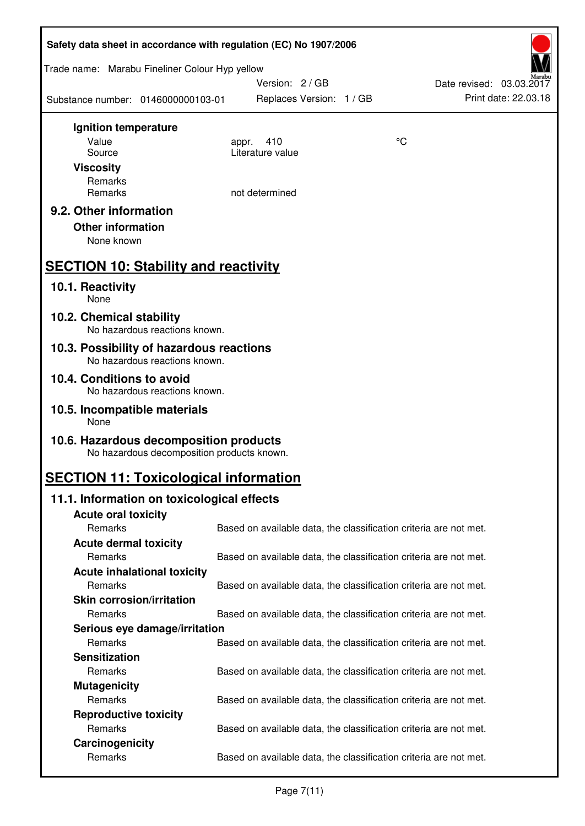| Safety data sheet in accordance with regulation (EC) No 1907/2006                    |                                                                   |    |                          |
|--------------------------------------------------------------------------------------|-------------------------------------------------------------------|----|--------------------------|
| Trade name: Marabu Fineliner Colour Hyp yellow                                       |                                                                   |    |                          |
|                                                                                      | Version: 2/GB                                                     |    | Date revised: 03.03.2017 |
| Substance number: 0146000000103-01                                                   | Replaces Version: 1 / GB                                          |    | Print date: 22.03.18     |
| Ignition temperature                                                                 |                                                                   |    |                          |
| Value                                                                                | 410<br>appr.                                                      | °C |                          |
| Source                                                                               | Literature value                                                  |    |                          |
| <b>Viscosity</b>                                                                     |                                                                   |    |                          |
| Remarks<br>Remarks                                                                   | not determined                                                    |    |                          |
|                                                                                      |                                                                   |    |                          |
| 9.2. Other information<br><b>Other information</b><br>None known                     |                                                                   |    |                          |
|                                                                                      |                                                                   |    |                          |
| <b>SECTION 10: Stability and reactivity</b>                                          |                                                                   |    |                          |
| 10.1. Reactivity<br>None                                                             |                                                                   |    |                          |
| 10.2. Chemical stability<br>No hazardous reactions known.                            |                                                                   |    |                          |
| 10.3. Possibility of hazardous reactions<br>No hazardous reactions known.            |                                                                   |    |                          |
| 10.4. Conditions to avoid                                                            |                                                                   |    |                          |
| No hazardous reactions known.                                                        |                                                                   |    |                          |
| 10.5. Incompatible materials<br>None                                                 |                                                                   |    |                          |
| 10.6. Hazardous decomposition products<br>No hazardous decomposition products known. |                                                                   |    |                          |
| <b>SECTION 11: Toxicological information</b>                                         |                                                                   |    |                          |
| 11.1. Information on toxicological effects                                           |                                                                   |    |                          |
| <b>Acute oral toxicity</b>                                                           |                                                                   |    |                          |
| Remarks                                                                              | Based on available data, the classification criteria are not met. |    |                          |
| <b>Acute dermal toxicity</b>                                                         |                                                                   |    |                          |
| Remarks                                                                              | Based on available data, the classification criteria are not met. |    |                          |
| <b>Acute inhalational toxicity</b>                                                   |                                                                   |    |                          |
| Remarks                                                                              | Based on available data, the classification criteria are not met. |    |                          |
| <b>Skin corrosion/irritation</b>                                                     |                                                                   |    |                          |
| Remarks                                                                              | Based on available data, the classification criteria are not met. |    |                          |
| Serious eye damage/irritation                                                        |                                                                   |    |                          |
| Remarks                                                                              | Based on available data, the classification criteria are not met. |    |                          |
| <b>Sensitization</b>                                                                 |                                                                   |    |                          |
| Remarks                                                                              | Based on available data, the classification criteria are not met. |    |                          |
| <b>Mutagenicity</b>                                                                  |                                                                   |    |                          |
| Remarks                                                                              | Based on available data, the classification criteria are not met. |    |                          |
| <b>Reproductive toxicity</b>                                                         |                                                                   |    |                          |
| Remarks                                                                              | Based on available data, the classification criteria are not met. |    |                          |
| Carcinogenicity<br>Remarks                                                           | Based on available data, the classification criteria are not met. |    |                          |
|                                                                                      |                                                                   |    |                          |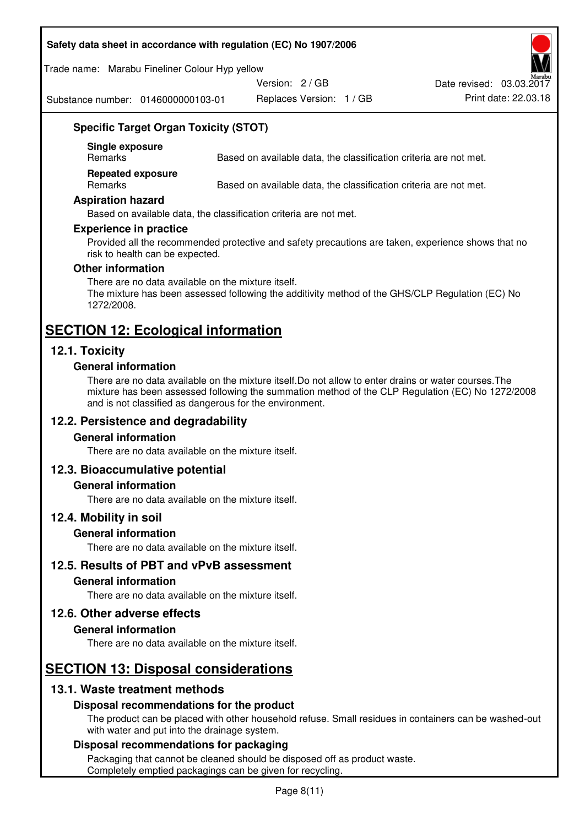#### **Safety data sheet in accordance with regulation (EC) No 1907/2006**

Trade name: Marabu Fineliner Colour Hyp yellow

Version: 2 / GB

Substance number: 0146000000103-01

Replaces Version: 1 / GB Print date: 22.03.18 Date revised: 03.03.2017

## **Specific Target Organ Toxicity (STOT)**

**Single exposure** 

Based on available data, the classification criteria are not met.

**Repeated exposure** 

Remarks Based on available data, the classification criteria are not met.

#### **Aspiration hazard**

Based on available data, the classification criteria are not met.

#### **Experience in practice**

Provided all the recommended protective and safety precautions are taken, experience shows that no risk to health can be expected.

#### **Other information**

There are no data available on the mixture itself. The mixture has been assessed following the additivity method of the GHS/CLP Regulation (EC) No 1272/2008.

## **SECTION 12: Ecological information**

## **12.1. Toxicity**

#### **General information**

There are no data available on the mixture itself.Do not allow to enter drains or water courses.The mixture has been assessed following the summation method of the CLP Regulation (EC) No 1272/2008 and is not classified as dangerous for the environment.

## **12.2. Persistence and degradability**

#### **General information**

There are no data available on the mixture itself.

#### **12.3. Bioaccumulative potential**

#### **General information**

There are no data available on the mixture itself.

#### **12.4. Mobility in soil**

#### **General information**

There are no data available on the mixture itself.

**12.5. Results of PBT and vPvB assessment** 

#### **General information**

There are no data available on the mixture itself.

#### **12.6. Other adverse effects**

#### **General information**

There are no data available on the mixture itself.

# **SECTION 13: Disposal considerations**

## **13.1. Waste treatment methods**

#### **Disposal recommendations for the product**

The product can be placed with other household refuse. Small residues in containers can be washed-out with water and put into the drainage system.

#### **Disposal recommendations for packaging**

Packaging that cannot be cleaned should be disposed off as product waste. Completely emptied packagings can be given for recycling.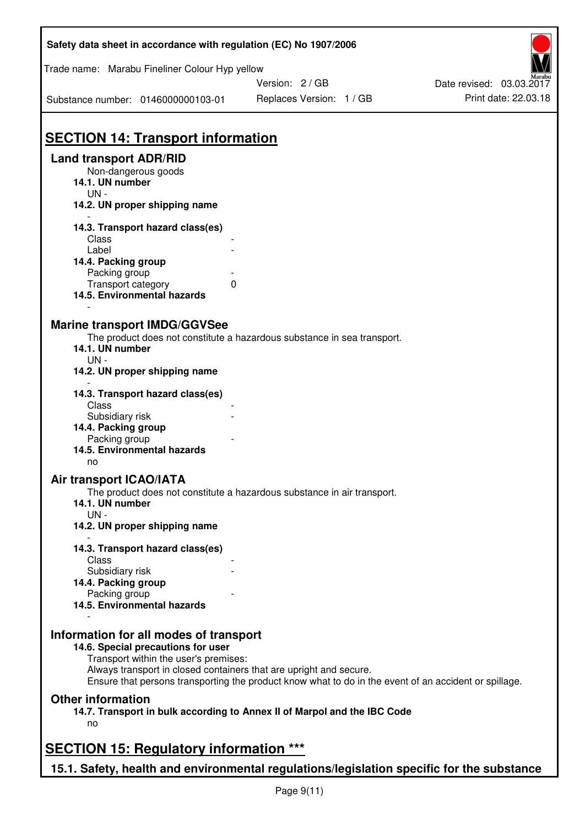| Safety data sheet in accordance with regulation (EC) No 1907/2006                                                                                                                           |                                                                                                       |                          |
|---------------------------------------------------------------------------------------------------------------------------------------------------------------------------------------------|-------------------------------------------------------------------------------------------------------|--------------------------|
| Trade name: Marabu Fineliner Colour Hyp yellow                                                                                                                                              | Version: 2 / GB                                                                                       | Date revised: 03.03.2017 |
| Substance number: 0146000000103-01                                                                                                                                                          | Replaces Version: 1 / GB                                                                              | Print date: 22.03.18     |
| <b>SECTION 14: Transport information</b>                                                                                                                                                    |                                                                                                       |                          |
| <b>Land transport ADR/RID</b><br>Non-dangerous goods<br>14.1. UN number<br>$UN -$<br>14.2. UN proper shipping name                                                                          |                                                                                                       |                          |
| 14.3. Transport hazard class(es)<br>Class                                                                                                                                                   |                                                                                                       |                          |
| Label<br>14.4. Packing group<br>Packing group                                                                                                                                               |                                                                                                       |                          |
| Transport category<br>$\mathbf{0}$<br>14.5. Environmental hazards                                                                                                                           |                                                                                                       |                          |
| <b>Marine transport IMDG/GGVSee</b><br>14.1. UN number<br>$UN -$<br>14.2. UN proper shipping name                                                                                           | The product does not constitute a hazardous substance in sea transport.                               |                          |
| 14.3. Transport hazard class(es)<br>Class                                                                                                                                                   |                                                                                                       |                          |
| Subsidiary risk<br>14.4. Packing group<br>Packing group<br>14.5. Environmental hazards<br>no                                                                                                |                                                                                                       |                          |
| <b>Air transport ICAO/IATA</b><br>14.1. UN number                                                                                                                                           | The product does not constitute a hazardous substance in air transport.                               |                          |
| $UN -$<br>14.2. UN proper shipping name                                                                                                                                                     |                                                                                                       |                          |
| 14.3. Transport hazard class(es)<br>Class<br>Subsidiary risk                                                                                                                                |                                                                                                       |                          |
| 14.4. Packing group<br>Packing group<br>14.5. Environmental hazards                                                                                                                         |                                                                                                       |                          |
| Information for all modes of transport<br>14.6. Special precautions for user<br>Transport within the user's premises:<br>Always transport in closed containers that are upright and secure. | Ensure that persons transporting the product know what to do in the event of an accident or spillage. |                          |
| <b>Other information</b><br>no                                                                                                                                                              | 14.7. Transport in bulk according to Annex II of Marpol and the IBC Code                              |                          |
| <b>SECTION 15: Regulatory information ***</b>                                                                                                                                               |                                                                                                       |                          |
| 15.1. Safety, health and environmental regulations/legislation specific for the substance                                                                                                   |                                                                                                       |                          |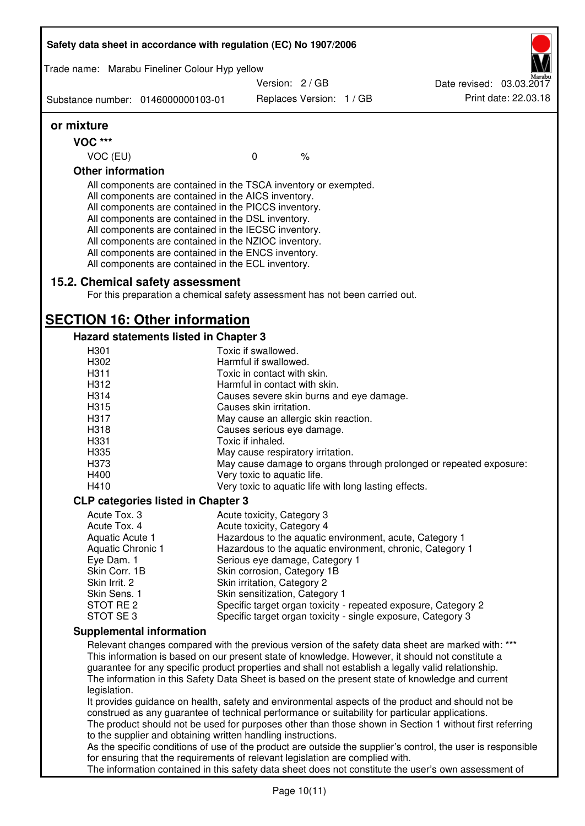| Safety data sheet in accordance with regulation (EC) No 1907/2006                                                                                                                                                                                                                                                                                                                                                                                                 |                                                          |                          |  |                                                                                                                                                                                                                                                                                                                                                                                                                                                                                                                       |  |  |
|-------------------------------------------------------------------------------------------------------------------------------------------------------------------------------------------------------------------------------------------------------------------------------------------------------------------------------------------------------------------------------------------------------------------------------------------------------------------|----------------------------------------------------------|--------------------------|--|-----------------------------------------------------------------------------------------------------------------------------------------------------------------------------------------------------------------------------------------------------------------------------------------------------------------------------------------------------------------------------------------------------------------------------------------------------------------------------------------------------------------------|--|--|
| Trade name: Marabu Fineliner Colour Hyp yellow                                                                                                                                                                                                                                                                                                                                                                                                                    |                                                          |                          |  |                                                                                                                                                                                                                                                                                                                                                                                                                                                                                                                       |  |  |
|                                                                                                                                                                                                                                                                                                                                                                                                                                                                   |                                                          | Version: 2 / GB          |  | Date revised: 03.03.2017                                                                                                                                                                                                                                                                                                                                                                                                                                                                                              |  |  |
| Substance number: 0146000000103-01                                                                                                                                                                                                                                                                                                                                                                                                                                |                                                          | Replaces Version: 1 / GB |  | Print date: 22.03.18                                                                                                                                                                                                                                                                                                                                                                                                                                                                                                  |  |  |
| or mixture                                                                                                                                                                                                                                                                                                                                                                                                                                                        |                                                          |                          |  |                                                                                                                                                                                                                                                                                                                                                                                                                                                                                                                       |  |  |
| <b>VOC ***</b>                                                                                                                                                                                                                                                                                                                                                                                                                                                    |                                                          |                          |  |                                                                                                                                                                                                                                                                                                                                                                                                                                                                                                                       |  |  |
| VOC (EU)                                                                                                                                                                                                                                                                                                                                                                                                                                                          | $\mathbf 0$                                              | $\frac{1}{6}$            |  |                                                                                                                                                                                                                                                                                                                                                                                                                                                                                                                       |  |  |
| <b>Other information</b>                                                                                                                                                                                                                                                                                                                                                                                                                                          |                                                          |                          |  |                                                                                                                                                                                                                                                                                                                                                                                                                                                                                                                       |  |  |
| All components are contained in the TSCA inventory or exempted.<br>All components are contained in the AICS inventory.<br>All components are contained in the PICCS inventory.<br>All components are contained in the DSL inventory.<br>All components are contained in the IECSC inventory.<br>All components are contained in the NZIOC inventory.<br>All components are contained in the ENCS inventory.<br>All components are contained in the ECL inventory. |                                                          |                          |  |                                                                                                                                                                                                                                                                                                                                                                                                                                                                                                                       |  |  |
| 15.2. Chemical safety assessment                                                                                                                                                                                                                                                                                                                                                                                                                                  |                                                          |                          |  |                                                                                                                                                                                                                                                                                                                                                                                                                                                                                                                       |  |  |
| For this preparation a chemical safety assessment has not been carried out.                                                                                                                                                                                                                                                                                                                                                                                       |                                                          |                          |  |                                                                                                                                                                                                                                                                                                                                                                                                                                                                                                                       |  |  |
| <b>SECTION 16: Other information</b>                                                                                                                                                                                                                                                                                                                                                                                                                              |                                                          |                          |  |                                                                                                                                                                                                                                                                                                                                                                                                                                                                                                                       |  |  |
| Hazard statements listed in Chapter 3                                                                                                                                                                                                                                                                                                                                                                                                                             |                                                          |                          |  |                                                                                                                                                                                                                                                                                                                                                                                                                                                                                                                       |  |  |
| H301                                                                                                                                                                                                                                                                                                                                                                                                                                                              | Toxic if swallowed.                                      |                          |  |                                                                                                                                                                                                                                                                                                                                                                                                                                                                                                                       |  |  |
| H302                                                                                                                                                                                                                                                                                                                                                                                                                                                              | Harmful if swallowed.                                    |                          |  |                                                                                                                                                                                                                                                                                                                                                                                                                                                                                                                       |  |  |
| H311                                                                                                                                                                                                                                                                                                                                                                                                                                                              | Toxic in contact with skin.                              |                          |  |                                                                                                                                                                                                                                                                                                                                                                                                                                                                                                                       |  |  |
| H312                                                                                                                                                                                                                                                                                                                                                                                                                                                              | Harmful in contact with skin.                            |                          |  |                                                                                                                                                                                                                                                                                                                                                                                                                                                                                                                       |  |  |
| H314                                                                                                                                                                                                                                                                                                                                                                                                                                                              | Causes severe skin burns and eye damage.                 |                          |  |                                                                                                                                                                                                                                                                                                                                                                                                                                                                                                                       |  |  |
| H315                                                                                                                                                                                                                                                                                                                                                                                                                                                              | Causes skin irritation.                                  |                          |  |                                                                                                                                                                                                                                                                                                                                                                                                                                                                                                                       |  |  |
| H317                                                                                                                                                                                                                                                                                                                                                                                                                                                              | May cause an allergic skin reaction.                     |                          |  |                                                                                                                                                                                                                                                                                                                                                                                                                                                                                                                       |  |  |
| H318                                                                                                                                                                                                                                                                                                                                                                                                                                                              | Causes serious eye damage.                               |                          |  |                                                                                                                                                                                                                                                                                                                                                                                                                                                                                                                       |  |  |
| H331<br>H335                                                                                                                                                                                                                                                                                                                                                                                                                                                      | Toxic if inhaled.                                        |                          |  |                                                                                                                                                                                                                                                                                                                                                                                                                                                                                                                       |  |  |
| H373                                                                                                                                                                                                                                                                                                                                                                                                                                                              | May cause respiratory irritation.                        |                          |  | May cause damage to organs through prolonged or repeated exposure:                                                                                                                                                                                                                                                                                                                                                                                                                                                    |  |  |
| H400                                                                                                                                                                                                                                                                                                                                                                                                                                                              | Very toxic to aquatic life.                              |                          |  |                                                                                                                                                                                                                                                                                                                                                                                                                                                                                                                       |  |  |
| H410                                                                                                                                                                                                                                                                                                                                                                                                                                                              | Very toxic to aquatic life with long lasting effects.    |                          |  |                                                                                                                                                                                                                                                                                                                                                                                                                                                                                                                       |  |  |
|                                                                                                                                                                                                                                                                                                                                                                                                                                                                   |                                                          |                          |  |                                                                                                                                                                                                                                                                                                                                                                                                                                                                                                                       |  |  |
| <b>CLP categories listed in Chapter 3</b><br>Acute Tox, 3                                                                                                                                                                                                                                                                                                                                                                                                         |                                                          |                          |  |                                                                                                                                                                                                                                                                                                                                                                                                                                                                                                                       |  |  |
| Acute Tox. 4                                                                                                                                                                                                                                                                                                                                                                                                                                                      | Acute toxicity, Category 3<br>Acute toxicity, Category 4 |                          |  |                                                                                                                                                                                                                                                                                                                                                                                                                                                                                                                       |  |  |
| Aquatic Acute 1                                                                                                                                                                                                                                                                                                                                                                                                                                                   |                                                          |                          |  | Hazardous to the aquatic environment, acute, Category 1                                                                                                                                                                                                                                                                                                                                                                                                                                                               |  |  |
| Aquatic Chronic 1                                                                                                                                                                                                                                                                                                                                                                                                                                                 |                                                          |                          |  | Hazardous to the aquatic environment, chronic, Category 1                                                                                                                                                                                                                                                                                                                                                                                                                                                             |  |  |
| Eye Dam. 1                                                                                                                                                                                                                                                                                                                                                                                                                                                        | Serious eye damage, Category 1                           |                          |  |                                                                                                                                                                                                                                                                                                                                                                                                                                                                                                                       |  |  |
| Skin Corr. 1B                                                                                                                                                                                                                                                                                                                                                                                                                                                     | Skin corrosion, Category 1B                              |                          |  |                                                                                                                                                                                                                                                                                                                                                                                                                                                                                                                       |  |  |
| Skin Irrit. 2                                                                                                                                                                                                                                                                                                                                                                                                                                                     | Skin irritation, Category 2                              |                          |  |                                                                                                                                                                                                                                                                                                                                                                                                                                                                                                                       |  |  |
| Skin Sens. 1                                                                                                                                                                                                                                                                                                                                                                                                                                                      | Skin sensitization, Category 1                           |                          |  |                                                                                                                                                                                                                                                                                                                                                                                                                                                                                                                       |  |  |
| STOT RE 2                                                                                                                                                                                                                                                                                                                                                                                                                                                         |                                                          |                          |  | Specific target organ toxicity - repeated exposure, Category 2                                                                                                                                                                                                                                                                                                                                                                                                                                                        |  |  |
| STOT SE3                                                                                                                                                                                                                                                                                                                                                                                                                                                          |                                                          |                          |  | Specific target organ toxicity - single exposure, Category 3                                                                                                                                                                                                                                                                                                                                                                                                                                                          |  |  |
| <b>Supplemental information</b>                                                                                                                                                                                                                                                                                                                                                                                                                                   |                                                          |                          |  |                                                                                                                                                                                                                                                                                                                                                                                                                                                                                                                       |  |  |
| legislation.                                                                                                                                                                                                                                                                                                                                                                                                                                                      |                                                          |                          |  | Relevant changes compared with the previous version of the safety data sheet are marked with: ***<br>This information is based on our present state of knowledge. However, it should not constitute a<br>guarantee for any specific product properties and shall not establish a legally valid relationship.<br>The information in this Safety Data Sheet is based on the present state of knowledge and current<br>It provides guidance on health, safety and environmental aspects of the product and should not be |  |  |
| construed as any guarantee of technical performance or suitability for particular applications.<br>The product should not be used for purposes other than those shown in Section 1 without first referring                                                                                                                                                                                                                                                        |                                                          |                          |  |                                                                                                                                                                                                                                                                                                                                                                                                                                                                                                                       |  |  |
| to the supplier and obtaining written handling instructions.<br>As the specific conditions of use of the product are outside the supplier's control, the user is responsible                                                                                                                                                                                                                                                                                      |                                                          |                          |  |                                                                                                                                                                                                                                                                                                                                                                                                                                                                                                                       |  |  |
| for ensuring that the requirements of relevant legislation are complied with.                                                                                                                                                                                                                                                                                                                                                                                     |                                                          |                          |  |                                                                                                                                                                                                                                                                                                                                                                                                                                                                                                                       |  |  |
|                                                                                                                                                                                                                                                                                                                                                                                                                                                                   |                                                          |                          |  | The information contained in this safety data sheet does not constitute the user's own assessment of                                                                                                                                                                                                                                                                                                                                                                                                                  |  |  |